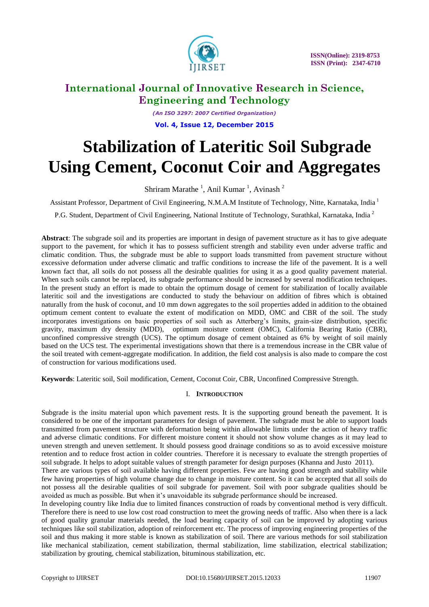

*(An ISO 3297: 2007 Certified Organization)* **Vol. 4, Issue 12, December 2015**

# **Stabilization of Lateritic Soil Subgrade Using Cement, Coconut Coir and Aggregates**

Shriram Marathe<sup>1</sup>, Anil Kumar<sup>1</sup>, Avinash<sup>2</sup>

Assistant Professor, Department of Civil Engineering, N.M.A.M Institute of Technology, Nitte, Karnataka, India <sup>1</sup>

P.G. Student, Department of Civil Engineering, National Institute of Technology, Surathkal, Karnataka, India <sup>2</sup>

**Abstract**: The subgrade soil and its properties are important in design of pavement structure as it has to give adequate support to the pavement, for which it has to possess sufficient strength and stability even under adverse traffic and climatic condition. Thus, the subgrade must be able to support loads transmitted from pavement structure without excessive deformation under adverse climatic and traffic conditions to increase the life of the pavement. It is a well known fact that, all soils do not possess all the desirable qualities for using it as a good quality pavement material. When such soils cannot be replaced, its subgrade performance should be increased by several modification techniques. In the present study an effort is made to obtain the optimum dosage of cement for stabilization of locally available lateritic soil and the investigations are conducted to study the behaviour on addition of fibres which is obtained naturally from the husk of coconut, and 10 mm down aggregates to the soil properties added in addition to the obtained optimum cement content to evaluate the extent of modification on MDD, OMC and CBR of the soil. The study incorporates investigations on basic properties of soil such as Atterberg's limits, grain-size distribution, specific gravity, maximum dry density (MDD), optimum moisture content (OMC), California Bearing Ratio (CBR), unconfined compressive strength (UCS). The optimum dosage of cement obtained as 6% by weight of soil mainly based on the UCS test. The experimental investigations shown that there is a tremendous increase in the CBR value of the soil treated with cement-aggregate modification. In addition, the field cost analysis is also made to compare the cost of construction for various modifications used.

**Keywords**: Lateritic soil, Soil modification, Cement, Coconut Coir, CBR, Unconfined Compressive Strength.

### I. **INTRODUCTION**

Subgrade is the insitu material upon which pavement rests. It is the supporting ground beneath the pavement. It is considered to be one of the important parameters for design of pavement. The subgrade must be able to support loads transmitted from pavement structure with deformation being within allowable limits under the action of heavy traffic and adverse climatic conditions. For different moisture content it should not show volume changes as it may lead to uneven strength and uneven settlement. It should possess good drainage conditions so as to avoid excessive moisture retention and to reduce frost action in colder countries. Therefore it is necessary to evaluate the strength properties of soil subgrade. It helps to adopt suitable values of strength parameter for design purposes (Khanna and Justo 2011).

There are various types of soil available having different properties. Few are having good strength and stability while few having properties of high volume change due to change in moisture content. So it can be accepted that all soils do not possess all the desirable qualities of soil subgrade for pavement. Soil with poor subgrade qualities should be avoided as much as possible. But when it's unavoidable its subgrade performance should be increased.

In developing country like India due to limited finances construction of roads by conventional method is very difficult. Therefore there is need to use low cost road construction to meet the growing needs of traffic. Also when there is a lack of good quality granular materials needed, the load bearing capacity of soil can be improved by adopting various techniques like soil stabilization, adoption of reinforcement etc. The process of improving engineering properties of the soil and thus making it more stable is known as stabilization of soil. There are various methods for soil stabilization like mechanical stabilization, cement stabilization, thermal stabilization, lime stabilization, electrical stabilization; stabilization by grouting, chemical stabilization, bituminous stabilization, etc.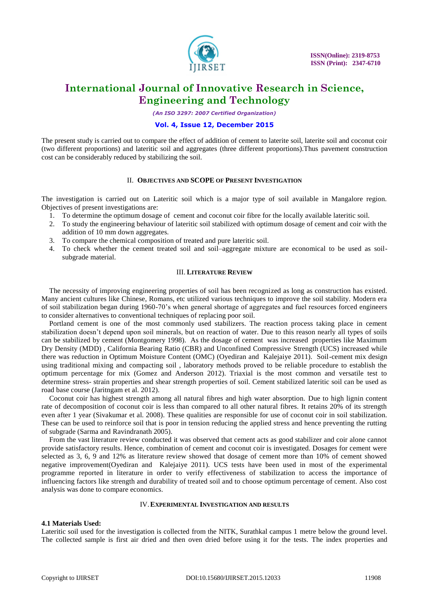

*(An ISO 3297: 2007 Certified Organization)*

### **Vol. 4, Issue 12, December 2015**

The present study is carried out to compare the effect of addition of cement to laterite soil, laterite soil and coconut coir (two different proportions) and lateritic soil and aggregates (three different proportions).Thus pavement construction cost can be considerably reduced by stabilizing the soil.

#### II. **OBJECTIVES AND SCOPE OF PRESENT INVESTIGATION**

The investigation is carried out on Lateritic soil which is a major type of soil available in Mangalore region. Objectives of present investigations are:

- 1. To determine the optimum dosage of cement and coconut coir fibre for the locally available lateritic soil.
- 2. To study the engineering behaviour of lateritic soil stabilized with optimum dosage of cement and coir with the addition of 10 mm down aggregates.
- 3. To compare the chemical composition of treated and pure lateritic soil.
- 4. To check whether the cement treated soil and soil–aggregate mixture are economical to be used as soilsubgrade material.

### III. **LITERATURE REVIEW**

The necessity of improving engineering properties of soil has been recognized as long as construction has existed. Many ancient cultures like Chinese, Romans, etc utilized various techniques to improve the soil stability. Modern era of soil stabilization began during 1960-70's when general shortage of aggregates and fuel resources forced engineers to consider alternatives to conventional techniques of replacing poor soil.

Portland cement is one of the most commonly used stabilizers. The reaction process taking place in cement stabilization doesn't depend upon soil minerals, but on reaction of water. Due to this reason nearly all types of soils can be stabilized by cement (Montgomery 1998). As the dosage of cement was increased properties like Maximum Dry Density (MDD) , California Bearing Ratio (CBR) and Unconfined Compressive Strength (UCS) increased while there was reduction in Optimum Moisture Content (OMC) (Oyediran and Kalejaiye 2011). Soil-cement mix design using traditional mixing and compacting soil , laboratory methods proved to be reliable procedure to establish the optimum percentage for mix (Gomez and Anderson 2012). Triaxial is the most common and versatile test to determine stress- strain properties and shear strength properties of soil. Cement stabilized lateritic soil can be used as road base course (Jaritngam et al. 2012).

Coconut coir has highest strength among all natural fibres and high water absorption. Due to high lignin content rate of decomposition of coconut coir is less than compared to all other natural fibres. It retains 20% of its strength even after 1 year (Sivakumar et al. 2008). These qualities are responsible for use of coconut coir in soil stabilization. These can be used to reinforce soil that is poor in tension reducing the applied stress and hence preventing the rutting of subgrade (Sarma and Ravindranath 2005).

From the vast literature review conducted it was observed that cement acts as good stabilizer and coir alone cannot provide satisfactory results. Hence, combination of cement and coconut coir is investigated. Dosages for cement were selected as 3, 6, 9 and 12% as literature review showed that dosage of cement more than 10% of cement showed negative improvement(Oyediran and Kalejaiye 2011). UCS tests have been used in most of the experimental programme reported in literature in order to verify effectiveness of stabilization to access the importance of influencing factors like strength and durability of treated soil and to choose optimum percentage of cement. Also cost analysis was done to compare economics.

#### IV.**EXPERIMENTAL INVESTIGATION AND RESULTS**

#### **4.1 Materials Used:**

Lateritic soil used for the investigation is collected from the NITK, Surathkal campus 1 metre below the ground level. The collected sample is first air dried and then oven dried before using it for the tests. The index properties and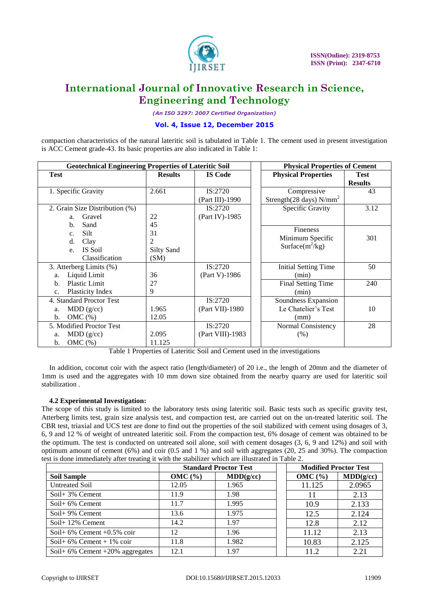

*(An ISO 3297: 2007 Certified Organization)*

### **Vol. 4, Issue 12, December 2015**

compaction characteristics of the natural lateritic soil is tabulated in Table 1. The cement used in present investigation is ACC Cement grade-43. Its basic properties are also indicated in Table 1:

| <b>Geotechnical Engineering Properties of Lateritic Soil</b>                   |                                      |                               | <b>Physical Properties of Cement</b>                          |                               |  |
|--------------------------------------------------------------------------------|--------------------------------------|-------------------------------|---------------------------------------------------------------|-------------------------------|--|
| <b>Test</b>                                                                    | <b>Results</b>                       | <b>IS Code</b>                | <b>Physical Properties</b>                                    | <b>Test</b><br><b>Results</b> |  |
| 1. Specific Gravity                                                            | 2.661                                | IS:2720<br>(Part III)-1990    | Compressive<br>Strength $(28 \text{ days})$ N/mm <sup>2</sup> | 43                            |  |
| 2. Grain Size Distribution (%)<br>Gravel<br>a.<br>Sand<br>b.                   | 22<br>45                             | IS:2720<br>(Part IV)-1985     | Specific Gravity                                              | 3.12                          |  |
| <b>Silt</b><br>C <sub>1</sub><br>d.<br>Clay<br>IS Soil<br>e.<br>Classification | 31<br>2<br><b>Silty Sand</b><br>(SM) |                               | Fineness<br>Minimum Specific<br>Surface $(m^2/kg)$            | 301                           |  |
| 3. Atterberg Limits (%)<br>Liquid Limit<br>a.                                  | 36                                   | IS:2720<br>(Part V)-1986      | <b>Initial Setting Time</b><br>(min)                          | 50                            |  |
| Plastic Limit<br>$b$<br>Plasticity Index<br>c.                                 | 27<br>9                              |                               | Final Setting Time<br>(min)                                   | 240                           |  |
| 4. Standard Proctor Test<br>MDD(g/cc)<br>a.<br>OMC(%)<br>b.                    | 1.965<br>12.05                       | IS:2720<br>(Part VII)-1980    | Soundness Expansion<br>Le Chatelier's Test<br>(mm)            | 10                            |  |
| 5. Modified Proctor Test<br>MDD(g/cc)<br>a.<br>OMC(%)<br>b.                    | 2.095<br>11.125                      | IS:2720<br>$(Part VIII)-1983$ | Normal Consistency<br>(% )                                    | 28                            |  |

Table 1 Properties of Lateritic Soil and Cement used in the investigations

In addition, coconut coir with the aspect ratio (length/diameter) of 20 i.e., the length of 20mm and the diameter of 1mm is used and the aggregates with 10 mm down size obtained from the nearby quarry are used for lateritic soil stabilization .

### **4.2 Experimental Investigation:**

The scope of this study is limited to the laboratory tests using lateritic soil. Basic tests such as specific gravity test, Atterberg limits test, grain size analysis test, and compaction test, are carried out on the un-treated lateritic soil. The CBR test, triaxial and UCS test are done to find out the properties of the soil stabilized with cement using dosages of 3, 6, 9 and 12 % of weight of untreated lateritic soil. From the compaction test, 6% dosage of cement was obtained to be the optimum. The test is conducted on untreated soil alone, soil with cement dosages (3, 6, 9 and 12%) and soil with optimum amount of cement (6%) and coir (0.5 and 1 %) and soil with aggregates (20, 25 and 30%). The compaction test is done immediately after treating it with the stabilizer which are illustrated in Table 2.

|                                       | <b>Standard Proctor Test</b> |           |  | <b>Modified Proctor Test</b> |           |
|---------------------------------------|------------------------------|-----------|--|------------------------------|-----------|
| <b>Soil Sample</b>                    | OMC(%)                       | MDD(g/cc) |  | OMC(%)                       | MDD(g/cc) |
| <b>Untreated Soil</b>                 | 12.05                        | 1.965     |  | 11.125                       | 2.0965    |
| Soil + $3\%$ Cement                   | 11.9                         | 1.98      |  |                              | 2.13      |
| Soil + $6\%$ Cement                   | 11.7                         | 1.995     |  | 10.9                         | 2.133     |
| Soil + $9\%$ Cement                   | 13.6                         | 1.975     |  | 12.5                         | 2.124     |
| Soil + $12\%$ Cement                  | 14.2                         | 1.97      |  | 12.8                         | 2.12      |
| Soil + $6\%$ Cement +0.5% coir        | 12                           | 1.96      |  | 11.12                        | 2.13      |
| Soil + $6\%$ Cement + $1\%$ coir      | 11.8                         | 1.982     |  | 10.83                        | 2.125     |
| Soil+ $6\%$ Cement $+20\%$ aggregates | 12.1                         | 1.97      |  | 11.2                         | 2.21      |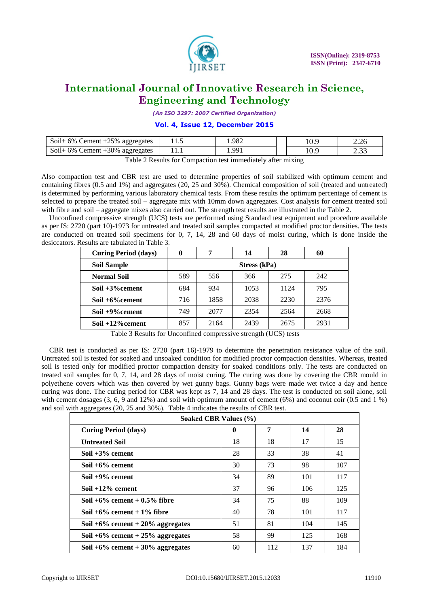

*(An ISO 3297: 2007 Certified Organization)*

### **Vol. 4, Issue 12, December 2015**

| Soil+ $6\%$ Cement $+25\%$ aggregates    | . | 982 |     | 2.20          |
|------------------------------------------|---|-----|-----|---------------|
| Soil + $6\%$ C<br>Cement +30% aggregates |   | ۵۵  | .v. | $\sim$<br>ـ ب |

Table 2 Results for Compaction test immediately after mixing

Also compaction test and CBR test are used to determine properties of soil stabilized with optimum cement and containing fibres (0.5 and 1%) and aggregates (20, 25 and 30%). Chemical composition of soil (treated and untreated) is determined by performing various laboratory chemical tests. From these results the optimum percentage of cement is selected to prepare the treated soil – aggregate mix with 10mm down aggregates. Cost analysis for cement treated soil with fibre and soil – aggregate mixes also carried out. The strength test results are illustrated in the Table 2.

Unconfined compressive strength (UCS) tests are performed using Standard test equipment and procedure available as per IS: 2720 (part 10)-1973 for untreated and treated soil samples compacted at modified proctor densities. The tests are conducted on treated soil specimens for 0, 7, 14, 28 and 60 days of moist curing, which is done inside the desiccators. Results are tabulated in Table 3.

| <b>Curing Period (days)</b> | 0            | 7    | 14   | 28   | 60   |
|-----------------------------|--------------|------|------|------|------|
| <b>Soil Sample</b>          | Stress (kPa) |      |      |      |      |
| <b>Normal Soil</b>          | 589          | 556  | 366  | 275  | 242  |
| Soil +3% cement             | 684          | 934  | 1053 | 1124 | 795  |
| Soil $+6\%$ cement          | 716          | 1858 | 2038 | 2230 | 2376 |
| Soil +9% cement             | 749          | 2077 | 2354 | 2564 | 2668 |
| Soil $+12%$ cement          | 857          | 2164 | 2439 | 2675 | 2931 |

Table 3 Results for Unconfined compressive strength (UCS) tests

CBR test is conducted as per IS: 2720 (part 16)-1979 to determine the penetration resistance value of the soil. Untreated soil is tested for soaked and unsoaked condition for modified proctor compaction densities. Whereas, treated soil is tested only for modified proctor compaction density for soaked conditions only. The tests are conducted on treated soil samples for 0, 7, 14, and 28 days of moist curing. The curing was done by covering the CBR mould in polyethene covers which was then covered by wet gunny bags. Gunny bags were made wet twice a day and hence curing was done. The curing period for CBR was kept as 7, 14 and 28 days. The test is conducted on soil alone, soil with cement dosages  $(3, 6, 9, 9)$  and 12%) and soil with optimum amount of cement  $(6%)$  and coconut coir  $(0.5, 1.4)$ and soil with aggregates (20, 25 and 30%). Table 4 indicates the results of CBR test.

| Soaked CBR Values (%)                 |             |     |     |     |
|---------------------------------------|-------------|-----|-----|-----|
| <b>Curing Period (days)</b>           | $\mathbf 0$ | 7   | 14  | 28  |
| <b>Untreated Soil</b>                 | 18          | 18  | 17  | 15  |
| Soil $+3\%$ cement                    | 28          | 33  | 38  | 41  |
| Soil $+6\%$ cement                    | 30          | 73  | 98  | 107 |
| Soil $+9\%$ cement                    | 34          | 89  | 101 | 117 |
| Soil $+12\%$ cement                   | 37          | 96  | 106 | 125 |
| Soil $+6\%$ cement $+0.5\%$ fibre     | 34          | 75  | 88  | 109 |
| Soil $+6\%$ cement $+1\%$ fibre       | 40          | 78  | 101 | 117 |
| Soil $+6\%$ cement $+20\%$ aggregates | 51          | 81  | 104 | 145 |
| Soil $+6\%$ cement $+25\%$ aggregates | 58          | 99  | 125 | 168 |
| Soil $+6\%$ cement $+30\%$ aggregates | 60          | 112 | 137 | 184 |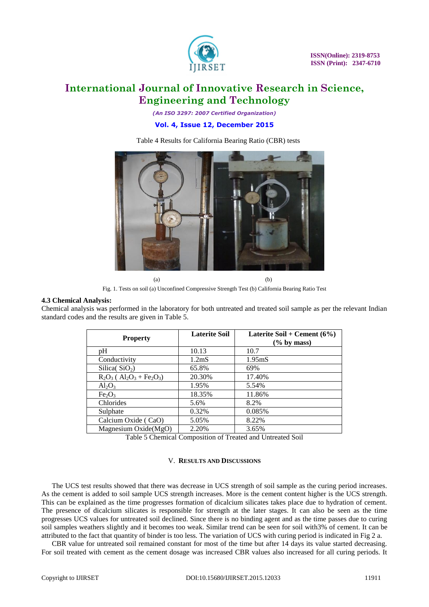

*(An ISO 3297: 2007 Certified Organization)* **Vol. 4, Issue 12, December 2015**

Table 4 Results for California Bearing Ratio (CBR) tests



Fig. 1. Tests on soil (a) Unconfined Compressive Strength Test (b) California Bearing Ratio Test

#### **4.3 Chemical Analysis:**

Chemical analysis was performed in the laboratory for both untreated and treated soil sample as per the relevant Indian standard codes and the results are given in Table 5.

| <b>Property</b>                                         | <b>Laterite Soil</b> | Laterite Soil + Cement $(6\%)$<br>$(\%$ by mass) |
|---------------------------------------------------------|----------------------|--------------------------------------------------|
| pH                                                      | 10.13                | 10.7                                             |
| Conductivity                                            | 1.2 <sub>m</sub> S   | 1.95 <sub>m</sub> S                              |
| Silica( $SiO2$ )                                        | 65.8%                | 69%                                              |
| $R_2O_3$ ( $Al_2O_3$ + Fe <sub>2</sub> O <sub>3</sub> ) | 20.30%               | 17.40%                                           |
| $Al_2O_3$                                               | 1.95%                | 5.54%                                            |
| Fe <sub>2</sub> O <sub>3</sub>                          | 18.35%               | 11.86%                                           |
| Chlorides                                               | 5.6%                 | 8.2%                                             |
| Sulphate                                                | 0.32%                | 0.085%                                           |
| Calcium Oxide (CaO)                                     | 5.05%                | 8.22%                                            |
| Magnesium Oxide(MgO)                                    | 2.20%                | 3.65%                                            |

Table 5 Chemical Composition of Treated and Untreated Soil

#### V. **RESULTS AND DISCUSSIONS**

The UCS test results showed that there was decrease in UCS strength of soil sample as the curing period increases. As the cement is added to soil sample UCS strength increases. More is the cement content higher is the UCS strength. This can be explained as the time progresses formation of dicalcium silicates takes place due to hydration of cement. The presence of dicalcium silicates is responsible for strength at the later stages. It can also be seen as the time progresses UCS values for untreated soil declined. Since there is no binding agent and as the time passes due to curing soil samples weathers slightly and it becomes too weak. Similar trend can be seen for soil with3% of cement. It can be attributed to the fact that quantity of binder is too less. The variation of UCS with curing period is indicated in Fig 2 a.

CBR value for untreated soil remained constant for most of the time but after 14 days its value started decreasing. For soil treated with cement as the cement dosage was increased CBR values also increased for all curing periods. It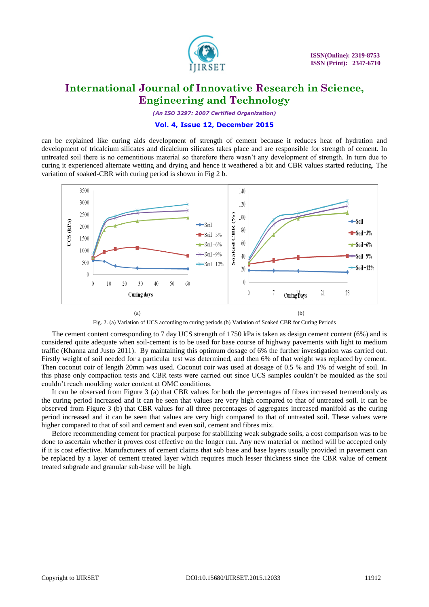

*(An ISO 3297: 2007 Certified Organization)*

### **Vol. 4, Issue 12, December 2015**

can be explained like curing aids development of strength of cement because it reduces heat of hydration and development of tricalcium silicates and dicalcium silicates takes place and are responsible for strength of cement. In untreated soil there is no cementitious material so therefore there wasn't any development of strength. In turn due to curing it experienced alternate wetting and drying and hence it weathered a bit and CBR values started reducing. The variation of soaked-CBR with curing period is shown in Fig 2 b.



Fig. 2. (a) Variation of UCS according to curing periods (b) Variation of Soaked CBR for Curing Periods

The cement content corresponding to 7 day UCS strength of 1750 kPa is taken as design cement content (6%) and is considered quite adequate when soil-cement is to be used for base course of highway pavements with light to medium traffic (Khanna and Justo 2011). By maintaining this optimum dosage of 6% the further investigation was carried out. Firstly weight of soil needed for a particular test was determined, and then 6% of that weight was replaced by cement. Then coconut coir of length 20mm was used. Coconut coir was used at dosage of 0.5 % and 1% of weight of soil. In this phase only compaction tests and CBR tests were carried out since UCS samples couldn't be moulded as the soil couldn't reach moulding water content at OMC conditions.

It can be observed from Figure 3 (a) that CBR values for both the percentages of fibres increased tremendously as the curing period increased and it can be seen that values are very high compared to that of untreated soil. It can be observed from Figure 3 (b) that CBR values for all three percentages of aggregates increased manifold as the curing period increased and it can be seen that values are very high compared to that of untreated soil. These values were higher compared to that of soil and cement and even soil, cement and fibres mix.

Before recommending cement for practical purpose for stabilizing weak subgrade soils, a cost comparison was to be done to ascertain whether it proves cost effective on the longer run. Any new material or method will be accepted only if it is cost effective. Manufacturers of cement claims that sub base and base layers usually provided in pavement can be replaced by a layer of cement treated layer which requires much lesser thickness since the CBR value of cement treated subgrade and granular sub-base will be high.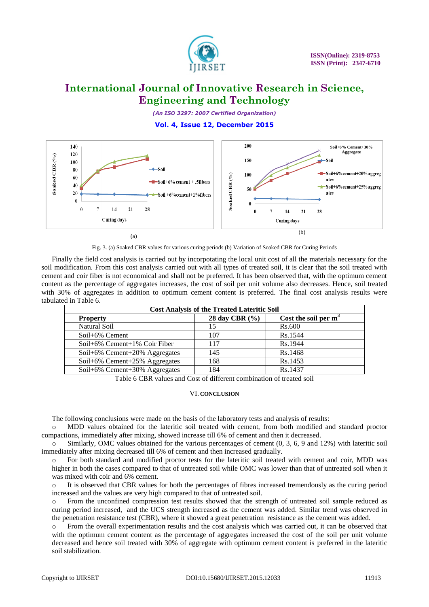

*(An ISO 3297: 2007 Certified Organization)*

### **Vol. 4, Issue 12, December 2015**



Fig. 3. (a) Soaked CBR values for various curing periods (b) Variation of Soaked CBR for Curing Periods

Finally the field cost analysis is carried out by incorpotating the local unit cost of all the materials necessary for the soil modification. From this cost analysis carried out with all types of treated soil, it is clear that the soil treated with cement and coir fiber is not economical and shall not be preferred. It has been observed that, with the optimum cement content as the percentage of aggregates increases, the cost of soil per unit volume also decreases. Hence, soil treated with 30% of aggregates in addition to optimum cement content is preferred. The final cost analysis results were tabulated in Table 6.

| <b>Cost Analysis of the Treated Lateritic Soil</b> |                    |                         |  |  |
|----------------------------------------------------|--------------------|-------------------------|--|--|
| <b>Property</b>                                    | 28 day CBR $(\% )$ | Cost the soil per $m^3$ |  |  |
| Natural Soil                                       | 15                 | <b>Rs.600</b>           |  |  |
| $Soil+6\%$ Cement                                  | 107                | Rs.1544                 |  |  |
| Soil+6% Cement+1% Coir Fiber                       | 117                | Rs.1944                 |  |  |
| Soil+6% Cement+20% Aggregates                      | 145                | Rs.1468                 |  |  |
| Soil+6% Cement+25% Aggregates                      | 168                | Rs.1453                 |  |  |
| Soil+6% Cement+30% Aggregates                      | 184                | Rs.1437                 |  |  |

Table 6 CBR values and Cost of different combination of treated soil

### VI. **CONCLUSION**

The following conclusions were made on the basis of the laboratory tests and analysis of results:

MDD values obtained for the lateritic soil treated with cement, from both modified and standard proctor compactions, immediately after mixing, showed increase till 6% of cement and then it decreased.

o Similarly, OMC values obtained for the various percentages of cement (0, 3, 6, 9 and 12%) with lateritic soil immediately after mixing decreased till 6% of cement and then increased gradually.

o For both standard and modified proctor tests for the lateritic soil treated with cement and coir, MDD was higher in both the cases compared to that of untreated soil while OMC was lower than that of untreated soil when it was mixed with coir and 6% cement.

o It is observed that CBR values for both the percentages of fibres increased tremendously as the curing period increased and the values are very high compared to that of untreated soil.

o From the unconfined compression test results showed that the strength of untreated soil sample reduced as curing period increased, and the UCS strength increased as the cement was added. Similar trend was observed in the penetration resistance test (CBR), where it showed a great penetration resistance as the cement was added.

o From the overall experimentation results and the cost analysis which was carried out, it can be observed that with the optimum cement content as the percentage of aggregates increased the cost of the soil per unit volume decreased and hence soil treated with 30% of aggregate with optimum cement content is preferred in the lateritic soil stabilization.